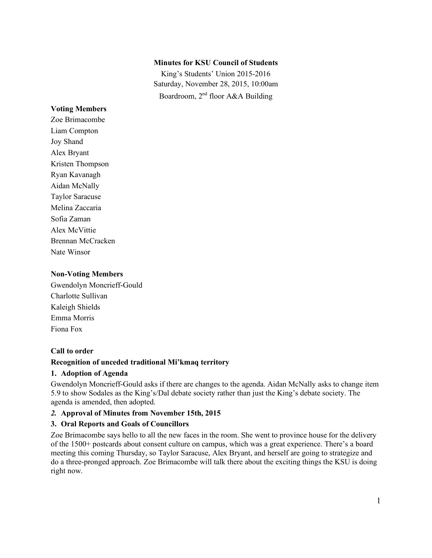# **Minutes for KSU Council of Students**

King's Students' Union 2015-2016 Saturday, November 28, 2015, 10:00am Boardroom, 2nd floor A&A Building

# **Voting Members**

Zoe Brimacombe Liam Compton Joy Shand Alex Bryant Kristen Thompson Ryan Kavanagh Aidan McNally Taylor Saracuse Melina Zaccaria Sofia Zaman Alex McVittie Brennan McCracken Nate Winsor

# **Non-Voting Members**

Gwendolyn Moncrieff-Gould Charlotte Sullivan Kaleigh Shields Emma Morris Fiona Fox

# **Call to order**

# **Recognition of unceded traditional Mi'kmaq territory**

# **1. Adoption of Agenda**

Gwendolyn Moncrieff-Gould asks if there are changes to the agenda. Aidan McNally asks to change item 5.9 to show Sodales as the King's/Dal debate society rather than just the King's debate society. The agenda is amended, then adopted.

# *2.* **Approval of Minutes from November 15th, 2015**

# **3. Oral Reports and Goals of Councillors**

Zoe Brimacombe says hello to all the new faces in the room. She went to province house for the delivery of the 1500+ postcards about consent culture on campus, which was a great experience. There's a board meeting this coming Thursday, so Taylor Saracuse, Alex Bryant, and herself are going to strategize and do a three-pronged approach. Zoe Brimacombe will talk there about the exciting things the KSU is doing right now.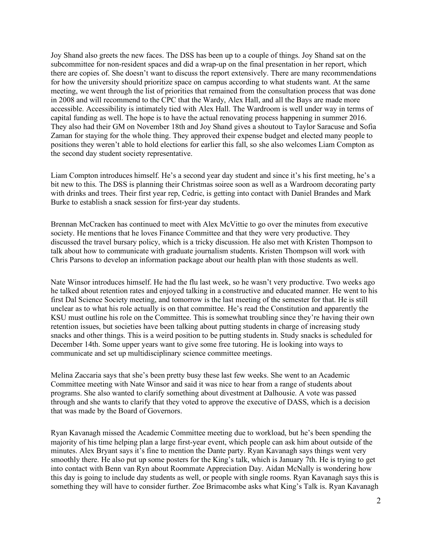Joy Shand also greets the new faces. The DSS has been up to a couple of things. Joy Shand sat on the subcommittee for non-resident spaces and did a wrap-up on the final presentation in her report, which there are copies of. She doesn't want to discuss the report extensively. There are many recommendations for how the university should prioritize space on campus according to what students want. At the same meeting, we went through the list of priorities that remained from the consultation process that was done in 2008 and will recommend to the CPC that the Wardy, Alex Hall, and all the Bays are made more accessible. Accessibility is intimately tied with Alex Hall. The Wardroom is well under way in terms of capital funding as well. The hope is to have the actual renovating process happening in summer 2016. They also had their GM on November 18th and Joy Shand gives a shoutout to Taylor Saracuse and Sofia Zaman for staying for the whole thing. They approved their expense budget and elected many people to positions they weren't able to hold elections for earlier this fall, so she also welcomes Liam Compton as the second day student society representative.

Liam Compton introduces himself. He's a second year day student and since it's his first meeting, he's a bit new to this. The DSS is planning their Christmas soiree soon as well as a Wardroom decorating party with drinks and trees. Their first year rep, Cedric, is getting into contact with Daniel Brandes and Mark Burke to establish a snack session for first-year day students.

Brennan McCracken has continued to meet with Alex McVittie to go over the minutes from executive society. He mentions that he loves Finance Committee and that they were very productive. They discussed the travel bursary policy, which is a tricky discussion. He also met with Kristen Thompson to talk about how to communicate with graduate journalism students. Kristen Thompson will work with Chris Parsons to develop an information package about our health plan with those students as well.

Nate Winsor introduces himself. He had the flu last week, so he wasn't very productive. Two weeks ago he talked about retention rates and enjoyed talking in a constructive and educated manner. He went to his first Dal Science Society meeting, and tomorrow is the last meeting of the semester for that. He is still unclear as to what his role actually is on that committee. He's read the Constitution and apparently the KSU must outline his role on the Committee. This is somewhat troubling since they're having their own retention issues, but societies have been talking about putting students in charge of increasing study snacks and other things. This is a weird position to be putting students in. Study snacks is scheduled for December 14th. Some upper years want to give some free tutoring. He is looking into ways to communicate and set up multidisciplinary science committee meetings.

Melina Zaccaria says that she's been pretty busy these last few weeks. She went to an Academic Committee meeting with Nate Winsor and said it was nice to hear from a range of students about programs. She also wanted to clarify something about divestment at Dalhousie. A vote was passed through and she wants to clarify that they voted to approve the executive of DASS, which is a decision that was made by the Board of Governors.

Ryan Kavanagh missed the Academic Committee meeting due to workload, but he's been spending the majority of his time helping plan a large first-year event, which people can ask him about outside of the minutes. Alex Bryant says it's fine to mention the Dante party. Ryan Kavanagh says things went very smoothly there. He also put up some posters for the King's talk, which is January 7th. He is trying to get into contact with Benn van Ryn about Roommate Appreciation Day. Aidan McNally is wondering how this day is going to include day students as well, or people with single rooms. Ryan Kavanagh says this is something they will have to consider further. Zoe Brimacombe asks what King's Talk is. Ryan Kavanagh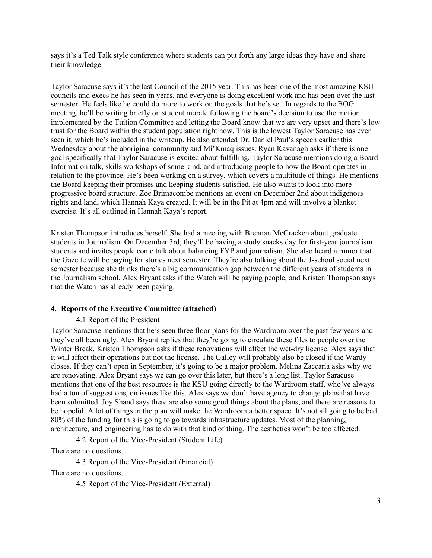says it's a Ted Talk style conference where students can put forth any large ideas they have and share their knowledge.

Taylor Saracuse says it's the last Council of the 2015 year. This has been one of the most amazing KSU councils and execs he has seen in years, and everyone is doing excellent work and has been over the last semester. He feels like he could do more to work on the goals that he's set. In regards to the BOG meeting, he'll be writing briefly on student morale following the board's decision to use the motion implemented by the Tuition Committee and letting the Board know that we are very upset and there's low trust for the Board within the student population right now. This is the lowest Taylor Saracuse has ever seen it, which he's included in the writeup. He also attended Dr. Daniel Paul's speech earlier this Wednesday about the aboriginal community and Mi'Kmaq issues. Ryan Kavanagh asks if there is one goal specifically that Taylor Saracuse is excited about fulfilling. Taylor Saracuse mentions doing a Board Information talk, skills workshops of some kind, and introducing people to how the Board operates in relation to the province. He's been working on a survey, which covers a multitude of things. He mentions the Board keeping their promises and keeping students satisfied. He also wants to look into more progressive board structure. Zoe Brimacombe mentions an event on December 2nd about indigenous rights and land, which Hannah Kaya created. It will be in the Pit at 4pm and will involve a blanket exercise. It's all outlined in Hannah Kaya's report.

Kristen Thompson introduces herself. She had a meeting with Brennan McCracken about graduate students in Journalism. On December 3rd, they'll be having a study snacks day for first-year journalism students and invites people come talk about balancing FYP and journalism. She also heard a rumor that the Gazette will be paying for stories next semester. They're also talking about the J-school social next semester because she thinks there's a big communication gap between the different years of students in the Journalism school. Alex Bryant asks if the Watch will be paying people, and Kristen Thompson says that the Watch has already been paying.

### **4. Reports of the Executive Committee (attached)**

### 4.1 Report of the President

Taylor Saracuse mentions that he's seen three floor plans for the Wardroom over the past few years and they've all been ugly. Alex Bryant replies that they're going to circulate these files to people over the Winter Break. Kristen Thompson asks if these renovations will affect the wet-dry license. Alex says that it will affect their operations but not the license. The Galley will probably also be closed if the Wardy closes. If they can't open in September, it's going to be a major problem. Melina Zaccaria asks why we are renovating. Alex Bryant says we can go over this later, but there's a long list. Taylor Saracuse mentions that one of the best resources is the KSU going directly to the Wardroom staff, who've always had a ton of suggestions, on issues like this. Alex says we don't have agency to change plans that have been submitted. Joy Shand says there are also some good things about the plans, and there are reasons to be hopeful. A lot of things in the plan will make the Wardroom a better space. It's not all going to be bad. 80% of the funding for this is going to go towards infrastructure updates. Most of the planning, architecture, and engineering has to do with that kind of thing. The aesthetics won't be too affected.

4.2 Report of the Vice-President (Student Life)

There are no questions.

4.3 Report of the Vice-President (Financial)

There are no questions.

4.5 Report of the Vice-President (External)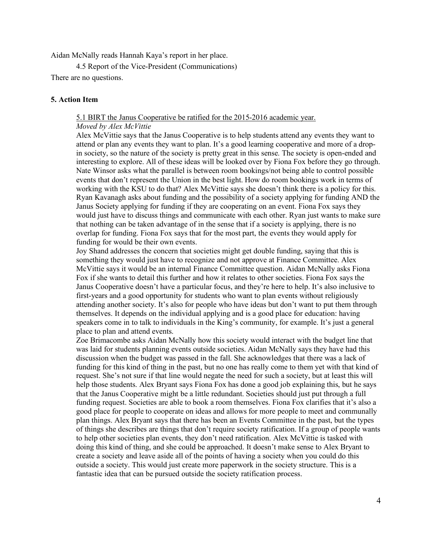Aidan McNally reads Hannah Kaya's report in her place.

4.5 Report of the Vice-President (Communications) There are no questions.

### **5. Action Item**

### 5.1 BIRT the Janus Cooperative be ratified for the 2015-2016 academic year.

*Moved by Alex McVittie*

Alex McVittie says that the Janus Cooperative is to help students attend any events they want to attend or plan any events they want to plan. It's a good learning cooperative and more of a dropin society, so the nature of the society is pretty great in this sense. The society is open-ended and interesting to explore. All of these ideas will be looked over by Fiona Fox before they go through. Nate Winsor asks what the parallel is between room bookings/not being able to control possible events that don't represent the Union in the best light. How do room bookings work in terms of working with the KSU to do that? Alex McVittie says she doesn't think there is a policy for this. Ryan Kavanagh asks about funding and the possibility of a society applying for funding AND the Janus Society applying for funding if they are cooperating on an event. Fiona Fox says they would just have to discuss things and communicate with each other. Ryan just wants to make sure that nothing can be taken advantage of in the sense that if a society is applying, there is no overlap for funding. Fiona Fox says that for the most part, the events they would apply for funding for would be their own events.

Joy Shand addresses the concern that societies might get double funding, saying that this is something they would just have to recognize and not approve at Finance Committee. Alex McVittie says it would be an internal Finance Committee question. Aidan McNally asks Fiona Fox if she wants to detail this further and how it relates to other societies. Fiona Fox says the Janus Cooperative doesn't have a particular focus, and they're here to help. It's also inclusive to first-years and a good opportunity for students who want to plan events without religiously attending another society. It's also for people who have ideas but don't want to put them through themselves. It depends on the individual applying and is a good place for education: having speakers come in to talk to individuals in the King's community, for example. It's just a general place to plan and attend events.

Zoe Brimacombe asks Aidan McNally how this society would interact with the budget line that was laid for students planning events outside societies. Aidan McNally says they have had this discussion when the budget was passed in the fall. She acknowledges that there was a lack of funding for this kind of thing in the past, but no one has really come to them yet with that kind of request. She's not sure if that line would negate the need for such a society, but at least this will help those students. Alex Bryant says Fiona Fox has done a good job explaining this, but he says that the Janus Cooperative might be a little redundant. Societies should just put through a full funding request. Societies are able to book a room themselves. Fiona Fox clarifies that it's also a good place for people to cooperate on ideas and allows for more people to meet and communally plan things. Alex Bryant says that there has been an Events Committee in the past, but the types of things she describes are things that don't require society ratification. If a group of people wants to help other societies plan events, they don't need ratification. Alex McVittie is tasked with doing this kind of thing, and she could be approached. It doesn't make sense to Alex Bryant to create a society and leave aside all of the points of having a society when you could do this outside a society. This would just create more paperwork in the society structure. This is a fantastic idea that can be pursued outside the society ratification process.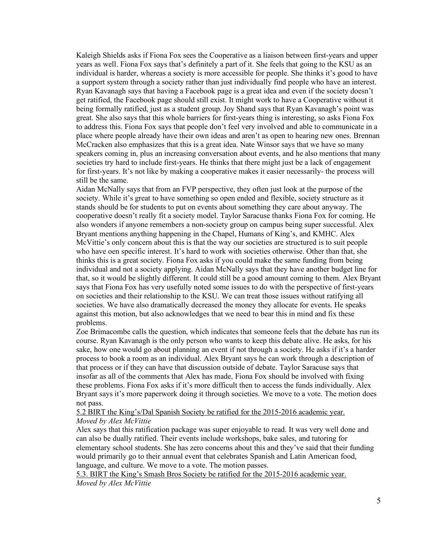Kaleigh Shields asks if Fiona Fox sees the Cooperative as a liaison between first-years and upper years as well. Fiona Fox says that's definitely a part of it. She feels that going to the KSU as an individual is harder, whereas a society is more accessible for people. She thinks it's good to have a support system through a society rather than just individually find people who have an interest. Ryan Kavanagh says that having a Facebook page is a great idea and even if the society doesn't get ratified, the Facebook page should still exist. It might work to have a Cooperative without it being formally ratified, just as a student group. Joy Shand says that Ryan Kavanagh's point was great. She also says that this whole barriers for first-years thing is interesting, so asks Fiona Fox to address this. Fiona Fox says that people don't feel very involved and able to communicate in a place where people already have their own ideas and aren't as open to hearing new ones. Brennan McCracken also emphasizes that this is a great idea. Nate Winsor says that we have so many speakers coming in, plus an increasing conversation about events, and he also mentions that many societies try hard to include first-years. He thinks that there might just be a lack of engagement for first-years. It's not like by making a cooperative makes it easier necessarily- the process will still be the same.

Aidan McNally says that from an FVP perspective, they often just look at the purpose of the society. While it's great to have something so open ended and flexible, society structure as it stands should be for students to put on events about something they care about anyway. The cooperative doesn't really fit a society model. Taylor Saracuse thanks Fiona Fox for coming. He also wonders if anyone remembers a non-society group on campus being super successful. Alex Bryant mentions anything happening in the Chapel, Humans of King's, and KMHC. Alex McVittie's only concern about this is that the way our societies are structured is to suit people who have oen specific interest. It's hard to work with societies otherwise. Other than that, she thinks this is a great society. Fiona Fox asks if you could make the same funding from being individual and not a society applying. Aidan McNally says that they have another budget line for that, so it would be slightly different. It could still be a good amount coming to them. Alex Bryant says that Fiona Fox has very usefully noted some issues to do with the perspective of first-years on societies and their relationship to the KSU. We can treat those issues without ratifying all societies. We have also dramatically decreased the money they allocate for events. He speaks against this motion, but also acknowledges that we need to bear this in mind and fix these problems.

Zoe Brimacombe calls the question, which indicates that someone feels that the debate has run its course. Ryan Kavanagh is the only person who wants to keep this debate alive. He asks, for his sake, how one would go about planning an event if not through a society. He asks if it's a harder process to book a room as an individual. Alex Bryant says he can work through a description of that process or if they can have that discussion outside of debate. Taylor Saracuse says that insofar as all of the comments that Alex has made, Fiona Fox should be involved with fixing these problems. Fiona Fox asks if it's more difficult then to access the funds individually. Alex Bryant says it's more paperwork doing it through societies. We move to a vote. The motion does not pass.

### 5.2 BIRT the King's/Dal Spanish Society be ratified for the 2015-2016 academic year. *Moved by Alex McVittie*

Alex says that this ratification package was super enjoyable to read. It was very well done and can also be dually ratified. Their events include workshops, bake sales, and tutoring for elementary school students. She has zero concerns about this and they've said that their funding would primarily go to their annual event that celebrates Spanish and Latin American food, language, and culture. We move to a vote. The motion passes.

5.3. BIRT the King's Smash Bros Society be ratified for the 2015-2016 academic year.

*Moved by Alex McVittie*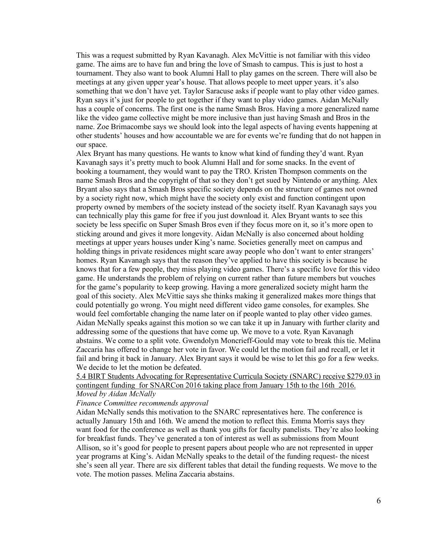This was a request submitted by Ryan Kavanagh. Alex McVittie is not familiar with this video game. The aims are to have fun and bring the love of Smash to campus. This is just to host a tournament. They also want to book Alumni Hall to play games on the screen. There will also be meetings at any given upper year's house. That allows people to meet upper years. it's also something that we don't have yet. Taylor Saracuse asks if people want to play other video games. Ryan says it's just for people to get together if they want to play video games. Aidan McNally has a couple of concerns. The first one is the name Smash Bros. Having a more generalized name like the video game collective might be more inclusive than just having Smash and Bros in the name. Zoe Brimacombe says we should look into the legal aspects of having events happening at other students' houses and how accountable we are for events we're funding that do not happen in our space.

Alex Bryant has many questions. He wants to know what kind of funding they'd want. Ryan Kavanagh says it's pretty much to book Alumni Hall and for some snacks. In the event of booking a tournament, they would want to pay the TRO. Kristen Thompson comments on the name Smash Bros and the copyright of that so they don't get sued by Nintendo or anything. Alex Bryant also says that a Smash Bros specific society depends on the structure of games not owned by a society right now, which might have the society only exist and function contingent upon property owned by members of the society instead of the society itself. Ryan Kavanagh says you can technically play this game for free if you just download it. Alex Bryant wants to see this society be less specific on Super Smash Bros even if they focus more on it, so it's more open to sticking around and gives it more longevity. Aidan McNally is also concerned about holding meetings at upper years houses under King's name. Societies generally meet on campus and holding things in private residences might scare away people who don't want to enter strangers' homes. Ryan Kavanagh says that the reason they've applied to have this society is because he knows that for a few people, they miss playing video games. There's a specific love for this video game. He understands the problem of relying on current rather than future members but vouches for the game's popularity to keep growing. Having a more generalized society might harm the goal of this society. Alex McVittie says she thinks making it generalized makes more things that could potentially go wrong. You might need different video game consoles, for examples. She would feel comfortable changing the name later on if people wanted to play other video games. Aidan McNally speaks against this motion so we can take it up in January with further clarity and addressing some of the questions that have come up. We move to a vote. Ryan Kavanagh abstains. We come to a split vote. Gwendolyn Moncrieff-Gould may vote to break this tie. Melina Zaccaria has offered to change her vote in favor. We could let the motion fail and recall, or let it fail and bring it back in January. Alex Bryant says it would be wise to let this go for a few weeks. We decide to let the motion be defeated.

5.4 BIRT Students Advocating for Representative Curricula Society (SNARC) receive \$279.03 in contingent funding for SNARCon 2016 taking place from January 15th to the 16th 2016. *Moved by Aidan McNally*

# *Finance Committee recommends approval*

Aidan McNally sends this motivation to the SNARC representatives here. The conference is actually January 15th and 16th. We amend the motion to reflect this. Emma Morris says they want food for the conference as well as thank you gifts for faculty panelists. They're also looking for breakfast funds. They've generated a ton of interest as well as submissions from Mount Allison, so it's good for people to present papers about people who are not represented in upper year programs at King's. Aidan McNally speaks to the detail of the funding request- the nicest she's seen all year. There are six different tables that detail the funding requests. We move to the vote. The motion passes. Melina Zaccaria abstains.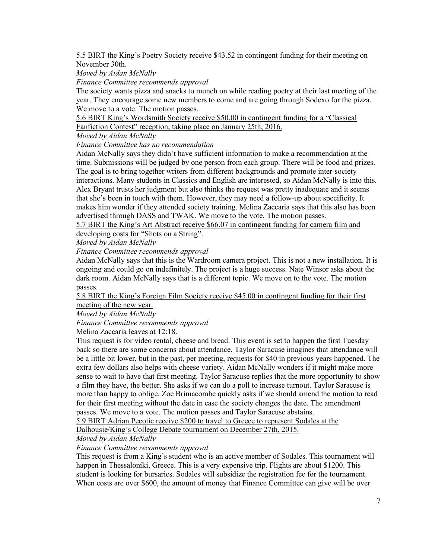### 5.5 BIRT the King's Poetry Society receive \$43.52 in contingent funding for their meeting on November 30th.

*Moved by Aidan McNally*

*Finance Committee recommends approval*

The society wants pizza and snacks to munch on while reading poetry at their last meeting of the year. They encourage some new members to come and are going through Sodexo for the pizza. We move to a vote. The motion passes.

5.6 BIRT King's Wordsmith Society receive \$50.00 in contingent funding for a "Classical Fanfiction Contest" reception, taking place on January 25th, 2016.

*Moved by Aidan McNally*

*Finance Committee has no recommendation*

Aidan McNally says they didn't have sufficient information to make a recommendation at the time. Submissions will be judged by one person from each group. There will be food and prizes. The goal is to bring together writers from different backgrounds and promote inter-society interactions. Many students in Classics and English are interested, so Aidan McNally is into this. Alex Bryant trusts her judgment but also thinks the request was pretty inadequate and it seems that she's been in touch with them. However, they may need a follow-up about specificity. It makes him wonder if they attended society training. Melina Zaccaria says that this also has been advertised through DASS and TWAK. We move to the vote. The motion passes.

5.7 BIRT the King's Art Abstract receive \$66.07 in contingent funding for camera film and developing costs for "Shots on a String".

*Moved by Aidan McNally*

*Finance Committee recommends approval*

Aidan McNally says that this is the Wardroom camera project. This is not a new installation. It is ongoing and could go on indefinitely. The project is a huge success. Nate Winsor asks about the dark room. Aidan McNally says that is a different topic. We move on to the vote. The motion passes.

5.8 BIRT the King's Foreign Film Society receive \$45.00 in contingent funding for their first meeting of the new year.

*Moved by Aidan McNally*

*Finance Committee recommends approval*

Melina Zaccaria leaves at 12:18.

This request is for video rental, cheese and bread. This event is set to happen the first Tuesday back so there are some concerns about attendance. Taylor Saracuse imagines that attendance will be a little bit lower, but in the past, per meeting, requests for \$40 in previous years happened. The extra few dollars also helps with cheese variety. Aidan McNally wonders if it might make more sense to wait to have that first meeting. Taylor Saracuse replies that the more opportunity to show a film they have, the better. She asks if we can do a poll to increase turnout. Taylor Saracuse is more than happy to oblige. Zoe Brimacombe quickly asks if we should amend the motion to read for their first meeting without the date in case the society changes the date. The amendment passes. We move to a vote. The motion passes and Taylor Saracuse abstains.

5.9 BIRT Adrian Pecotic receive \$200 to travel to Greece to represent Sodales at the

Dalhousie/King's College Debate tournament on December 27th, 2015.

*Moved by Aidan McNally*

*Finance Committee recommends approval*

This request is from a King's student who is an active member of Sodales. This tournament will happen in Thessaloniki, Greece. This is a very expensive trip. Flights are about \$1200. This student is looking for bursaries. Sodales will subsidize the registration fee for the tournament. When costs are over \$600, the amount of money that Finance Committee can give will be over